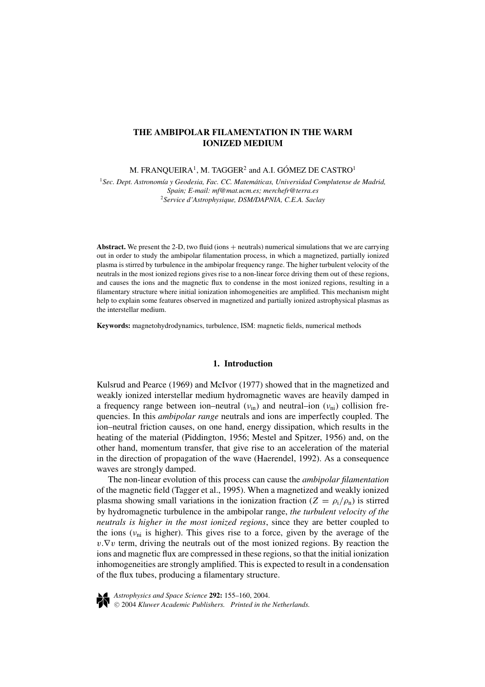# **THE AMBIPOLAR FILAMENTATION IN THE WARM IONIZED MEDIUM**

M. FRANQUEIRA<sup>1</sup>, M. TAGGER<sup>2</sup> and A.I. GÓMEZ DE CASTRO<sup>1</sup>

<sup>1</sup> Sec. Dept. Astronomía y Geodesia, Fac. CC. Matemáticas, Universidad Complutense de Madrid, *Spain; E-mail: mf@mat.ucm.es; merchefr@terra.es* <sup>2</sup>*Service d'Astrophysique, DSM/DAPNIA, C.E.A. Saclay*

**Abstract.** We present the 2-D, two fluid (ions + neutrals) numerical simulations that we are carrying out in order to study the ambipolar filamentation process, in which a magnetized, partially ionized plasma is stirred by turbulence in the ambipolar frequency range. The higher turbulent velocity of the neutrals in the most ionized regions gives rise to a non-linear force driving them out of these regions, and causes the ions and the magnetic flux to condense in the most ionized regions, resulting in a filamentary structure where initial ionization inhomogeneities are amplified. This mechanism might help to explain some features observed in magnetized and partially ionized astrophysical plasmas as the interstellar medium.

**Keywords:** magnetohydrodynamics, turbulence, ISM: magnetic fields, numerical methods

### **1. Introduction**

Kulsrud and Pearce (1969) and McIvor (1977) showed that in the magnetized and weakly ionized interstellar medium hydromagnetic waves are heavily damped in a frequency range between ion–neutral ( $v_{\text{in}}$ ) and neutral–ion ( $v_{\text{ni}}$ ) collision frequencies. In this *ambipolar range* neutrals and ions are imperfectly coupled. The ion–neutral friction causes, on one hand, energy dissipation, which results in the heating of the material (Piddington, 1956; Mestel and Spitzer, 1956) and, on the other hand, momentum transfer, that give rise to an acceleration of the material in the direction of propagation of the wave (Haerendel, 1992). As a consequence waves are strongly damped.

The non-linear evolution of this process can cause the *ambipolar filamentation* of the magnetic field (Tagger et al., 1995). When a magnetized and weakly ionized plasma showing small variations in the ionization fraction  $(Z = \rho_i/\rho_n)$  is stirred by hydromagnetic turbulence in the ambipolar range, *the turbulent velocity of the neutrals is higher in the most ionized regions*, since they are better coupled to the ions ( $v_{ni}$  is higher). This gives rise to a force, given by the average of the  $v.\nabla v$  term, driving the neutrals out of the most ionized regions. By reaction the ions and magnetic flux are compressed in these regions, so that the initial ionization inhomogeneities are strongly amplified. This is expected to result in a condensation of the flux tubes, producing a filamentary structure.



*Astrophysics and Space Science* **292:** 155–160, 2004. -<sup>C</sup> 2004 *Kluwer Academic Publishers. Printed in the Netherlands.*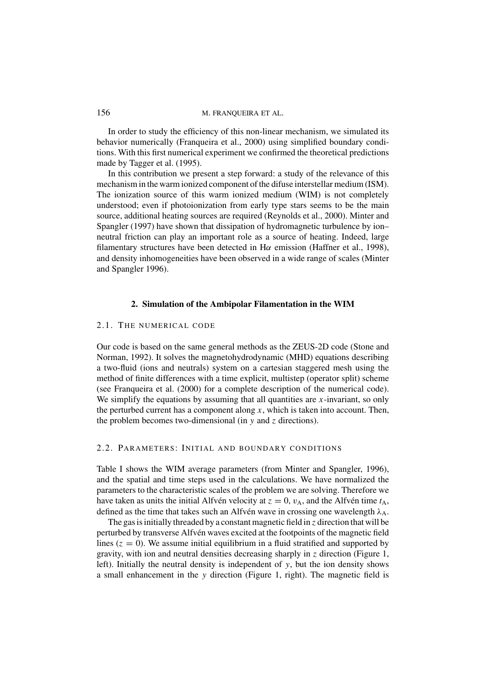# 156 M. FRANQUEIRA ET AL.

In order to study the efficiency of this non-linear mechanism, we simulated its behavior numerically (Franqueira et al., 2000) using simplified boundary conditions. With this first numerical experiment we confirmed the theoretical predictions made by Tagger et al. (1995).

In this contribution we present a step forward: a study of the relevance of this mechanism in the warm ionized component of the difuse interstellar medium (ISM). The ionization source of this warm ionized medium (WIM) is not completely understood; even if photoionization from early type stars seems to be the main source, additional heating sources are required (Reynolds et al., 2000). Minter and Spangler (1997) have shown that dissipation of hydromagnetic turbulence by ion– neutral friction can play an important role as a source of heating. Indeed, large filamentary structures have been detected in  $H\alpha$  emission (Haffner et al., 1998), and density inhomogeneities have been observed in a wide range of scales (Minter and Spangler 1996).

#### **2. Simulation of the Ambipolar Filamentation in the WIM**

# 2.1. THE NUMERICAL CODE

Our code is based on the same general methods as the ZEUS-2D code (Stone and Norman, 1992). It solves the magnetohydrodynamic (MHD) equations describing a two-fluid (ions and neutrals) system on a cartesian staggered mesh using the method of finite differences with a time explicit, multistep (operator split) scheme (see Franqueira et al. (2000) for a complete description of the numerical code). We simplify the equations by assuming that all quantities are *-invariant, so only* the perturbed current has a component along *x*, which is taken into account. Then, the problem becomes two-dimensional (in *y* and *z* directions).

#### 2.2. PARAMETERS: INITIAL AND BOUNDARY CONDITIONS

Table I shows the WIM average parameters (from Minter and Spangler, 1996), and the spatial and time steps used in the calculations. We have normalized the parameters to the characteristic scales of the problem we are solving. Therefore we have taken as units the initial Alfvén velocity at  $z = 0$ ,  $v_A$ , and the Alfvén time  $t_A$ , defined as the time that takes such an Alfvén wave in crossing one wavelength  $\lambda_A$ .

The gas is initially threaded by a constant magnetic field in *z* direction that will be perturbed by transverse Alfvén waves excited at the footpoints of the magnetic field lines  $(z = 0)$ . We assume initial equilibrium in a fluid stratified and supported by gravity, with ion and neutral densities decreasing sharply in *z* direction (Figure 1, left). Initially the neutral density is independent of *y*, but the ion density shows a small enhancement in the *y* direction (Figure 1, right). The magnetic field is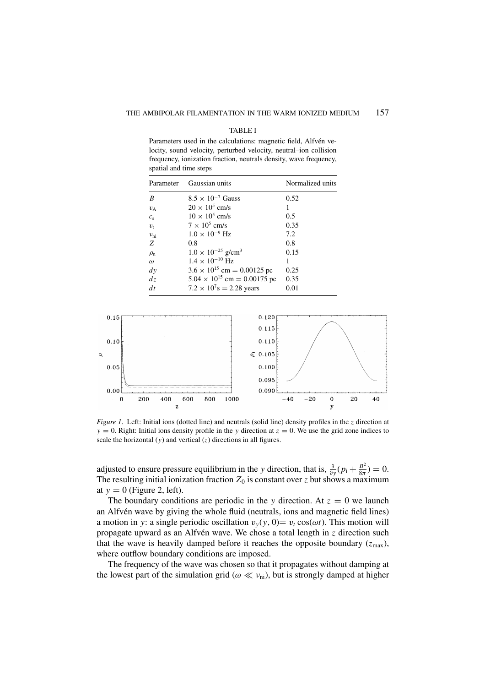TABLE I

Parameters used in the calculations: magnetic field, Alfvén velocity, sound velocity, perturbed velocity, neutral–ion collision frequency, ionization fraction, neutrals density, wave frequency, spatial and time steps

| Parameter      | Gaussian units                          | Normalized units |
|----------------|-----------------------------------------|------------------|
| B              | $8.5 \times 10^{-7}$ Gauss              | 0.52             |
| $v_A$          | $20 \times 10^5$ cm/s                   | 1                |
| $c_{s}$        | $10 \times 10^5$ cm/s                   | 0.5              |
| $v_{\rm t}$    | $7 \times 10^5$ cm/s                    | 0.35             |
| $v_{\rm ni}$   | $1.0 \times 10^{-9}$ Hz                 | 7.2              |
| Z              | 0.8                                     | 0.8              |
| $\rho_{\rm n}$ | $1.0 \times 10^{-25}$ g/cm <sup>3</sup> | 0.15             |
| $\omega$       | $1.4 \times 10^{-10}$ Hz                |                  |
| $\frac{dy}{x}$ | $3.6 \times 10^{15}$ cm = 0.00125 pc    | 0.25             |
| dz             | $5.04 \times 10^{15}$ cm = 0.00175 pc   | 0.35             |
| dt             | $7.2 \times 10^{7}$ s = 2.28 years      | 0.01             |



*Figure 1.* Left: Initial ions (dotted line) and neutrals (solid line) density profiles in the *z* direction at  $y = 0$ . Right: Initial ions density profile in the *y* direction at  $z = 0$ . We use the grid zone indices to scale the horizontal (*y*) and vertical (*z*) directions in all figures.

adjusted to ensure pressure equilibrium in the *y* direction, that is,  $\frac{\partial}{\partial y}(p_i + \frac{B^2}{8\pi}) = 0$ . The resulting initial ionization fraction  $Z_0$  is constant over *z* but shows a maximum at  $y = 0$  (Figure 2, left).

The boundary conditions are periodic in the *y* direction. At  $z = 0$  we launch an Alfvén wave by giving the whole fluid (neutrals, ions and magnetic field lines) a motion in *y*: a single periodic oscillation  $v_y(y, 0) = v_t \cos(\omega t)$ . This motion will propagate upward as an Alfvén wave. We chose a total length in *z* direction such that the wave is heavily damped before it reaches the opposite boundary  $(z_{\text{max}})$ , where outflow boundary conditions are imposed.

The frequency of the wave was chosen so that it propagates without damping at the lowest part of the simulation grid ( $\omega \ll v_{\text{ni}}$ ), but is strongly damped at higher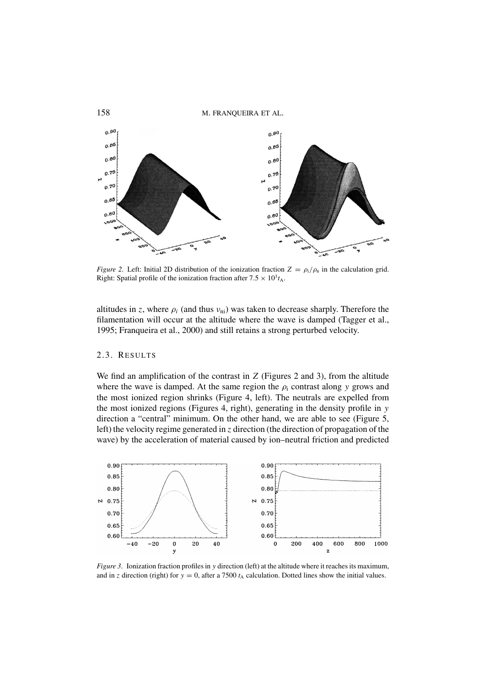

*Figure 2.* Left: Initial 2D distribution of the ionization fraction  $Z = \rho_i / \rho_n$  in the calculation grid. Right: Spatial profile of the ionization fraction after  $7.5 \times 10^3 t_A$ .

altitudes in *z*, where  $\rho_i$  (and thus  $v_{ni}$ ) was taken to decrease sharply. Therefore the filamentation will occur at the altitude where the wave is damped (Tagger et al., 1995; Franqueira et al., 2000) and still retains a strong perturbed velocity.

# 2.3. RESULTS

We find an amplification of the contrast in *Z* (Figures 2 and 3), from the altitude where the wave is damped. At the same region the  $\rho_i$  contrast along *y* grows and the most ionized region shrinks (Figure 4, left). The neutrals are expelled from the most ionized regions (Figures 4, right), generating in the density profile in *y* direction a "central" minimum. On the other hand, we are able to see (Figure 5, left) the velocity regime generated in *z* direction (the direction of propagation of the wave) by the acceleration of material caused by ion–neutral friction and predicted



*Figure 3*. Ionization fraction profiles in *y* direction (left) at the altitude where it reaches its maximum, and in *z* direction (right) for  $y = 0$ , after a 7500  $t_A$  calculation. Dotted lines show the initial values.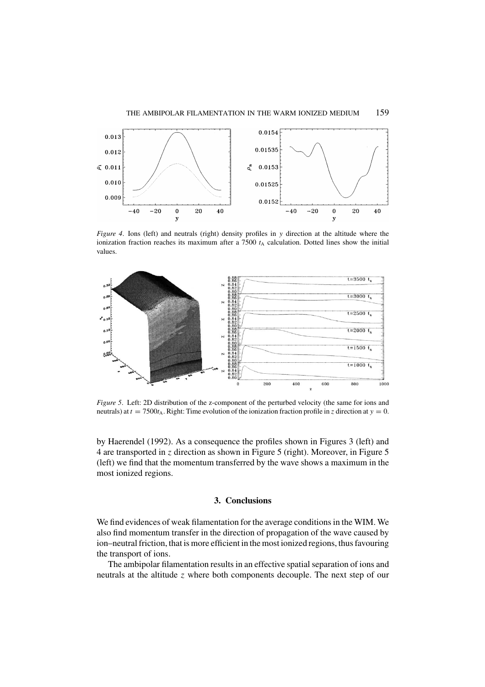

*Figure 4*. Ions (left) and neutrals (right) density profiles in *y* direction at the altitude where the ionization fraction reaches its maximum after a 7500  $t_A$  calculation. Dotted lines show the initial values.



*Figure 5*. Left: 2D distribution of the z-component of the perturbed velocity (the same for ions and neutrals) at  $t = 7500t_A$ . Right: Time evolution of the ionization fraction profile in *z* direction at  $y = 0$ .

by Haerendel (1992). As a consequence the profiles shown in Figures 3 (left) and 4 are transported in *z* direction as shown in Figure 5 (right). Moreover, in Figure 5 (left) we find that the momentum transferred by the wave shows a maximum in the most ionized regions.

# **3. Conclusions**

We find evidences of weak filamentation for the average conditions in the WIM. We also find momentum transfer in the direction of propagation of the wave caused by ion–neutral friction, that is more efficient in the most ionized regions, thus favouring the transport of ions.

The ambipolar filamentation results in an effective spatial separation of ions and neutrals at the altitude *z* where both components decouple. The next step of our